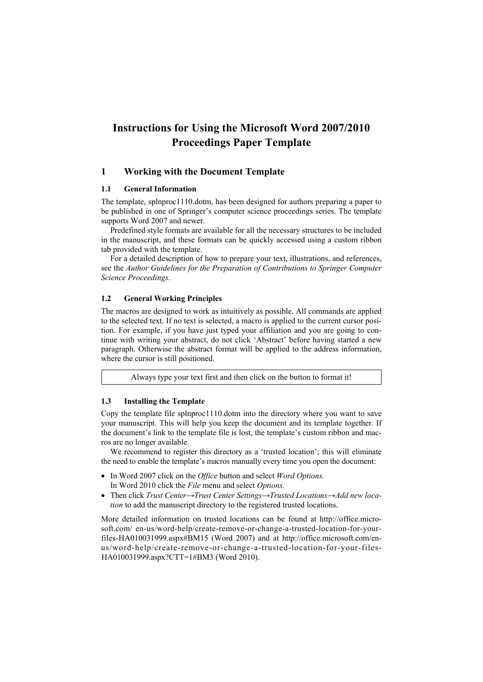# **Instructions for Using the Microsoft Word 2007/2010 Proceedings Paper Template**

## **1 Working with the Document Template**

#### **1.1 General Information**

The template, splnproc1110.dotm, has been designed for authors preparing a paper to be published in one of Springer's computer science proceedings series. The template supports Word 2007 and newer.

Predefined style formats are available for all the necessary structures to be included in the manuscript, and these formats can be quickly accessed using a custom ribbon tab provided with the template.

For a detailed description of how to prepare your text, illustrations, and references, see the *Author Guidelines for the Preparation of Contributions to Springer Computer Science Proceedings*.

# **1.2 General Working Principles**

The macros are designed to work as intuitively as possible. All commands are applied to the selected text. If no text is selected, a macro is applied to the current cursor position. For example, if you have just typed your affiliation and you are going to continue with writing your abstract, do not click 'Abstract' before having started a new paragraph. Otherwise the abstract format will be applied to the address information, where the cursor is still positioned.

Always type your text first and then click on the button to format it!

### **1.3 Installing the Template**

Copy the template file splnproc1110.dotm into the directory where you want to save your manuscript. This will help you keep the document and its template together. If the document's link to the template file is lost, the template's custom ribbon and macros are no longer available.

We recommend to register this directory as a 'trusted location'; this will eliminate the need to enable the template's macros manually every time you open the document:

- In Word 2007 click on the *Office* button and select *Word Options*. In Word 2010 click the *File* menu and select *Options.*
- Then click *Trust Center→Trust Center Settings→Trusted Locations→Add new location* to add the manuscript directory to the registered trusted locations.

More detailed information on trusted locations can be found at http://office.microsoft.com/ en-us/word-help/create-remove-or-change-a-trusted-location-for-yourfiles-HA010031999.aspx#BM15 (Word 2007) and at http://office.microsoft.com/enus/word-help/create-remove-or-change-a-trusted-location-for-your-files-HA010031999.aspx?CTT=1#BM3 (Word 2010).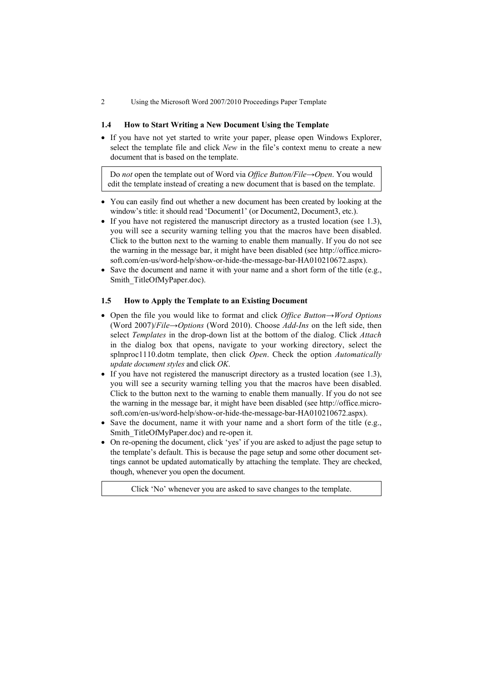2 Using the Microsoft Word 2007/2010 Proceedings Paper Template

### **1.4 How to Start Writing a New Document Using the Template**

 If you have not yet started to write your paper, please open Windows Explorer, select the template file and click *New* in the file's context menu to create a new document that is based on the template.

Do *not* open the template out of Word via *Office Button/File→Open*. You would edit the template instead of creating a new document that is based on the template.

- You can easily find out whether a new document has been created by looking at the window's title: it should read 'Document1' (or Document2, Document3, etc.).
- If you have not registered the manuscript directory as a trusted location (see 1.3), you will see a security warning telling you that the macros have been disabled. Click to the button next to the warning to enable them manually. If you do not see the warning in the message bar, it might have been disabled (see http://office.microsoft.com/en-us/word-help/show-or-hide-the-message-bar-HA010210672.aspx).
- Save the document and name it with your name and a short form of the title (e.g., Smith\_TitleOfMyPaper.doc).

### **1.5 How to Apply the Template to an Existing Document**

- Open the file you would like to format and click *Office Button→Word Options* (Word 2007)/*File→Options* (Word 2010). Choose *Add-Ins* on the left side, then select *Templates* in the drop-down list at the bottom of the dialog. Click *Attach* in the dialog box that opens, navigate to your working directory, select the splnproc1110.dotm template, then click *Open*. Check the option *Automatically update document styles* and click *OK*.
- If you have not registered the manuscript directory as a trusted location (see 1.3), you will see a security warning telling you that the macros have been disabled. Click to the button next to the warning to enable them manually. If you do not see the warning in the message bar, it might have been disabled (see http://office.microsoft.com/en-us/word-help/show-or-hide-the-message-bar-HA010210672.aspx).
- Save the document, name it with your name and a short form of the title (e.g., Smith\_TitleOfMyPaper.doc) and re-open it.
- On re-opening the document, click 'yes' if you are asked to adjust the page setup to the template's default. This is because the page setup and some other document settings cannot be updated automatically by attaching the template. They are checked, though, whenever you open the document.

Click 'No' whenever you are asked to save changes to the template.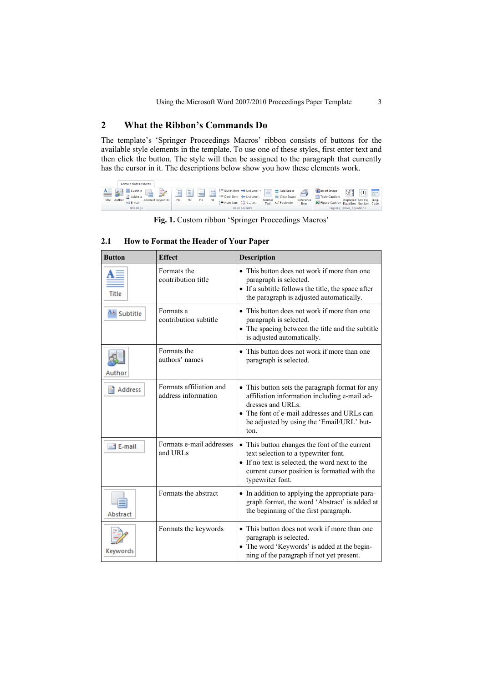# **2 What the Ribbon's Commands Do**

The template's 'Springer Proceedings Macros' ribbon consists of buttons for the available style elements in the template. To use one of these styles, first enter text and then click the button. The style will then be assigned to the paragraph that currently has the cursor in it. The descriptions below show you how these elements work.

| Lecture Notes Macros                                                                                           |                                                                                                                                                                                                                                                                                                                                                          |                                                                                                                                                               |
|----------------------------------------------------------------------------------------------------------------|----------------------------------------------------------------------------------------------------------------------------------------------------------------------------------------------------------------------------------------------------------------------------------------------------------------------------------------------------------|---------------------------------------------------------------------------------------------------------------------------------------------------------------|
| $\Delta E$ Subtitle<br>鱼 8-1<br>ニグ<br>⋹<br>Address<br><b>Abstract Keywords</b><br>Title Author<br>$= 1$ E-mail | $\frac{1}{2}$ Bullet Item $\Rightarrow$ List Level +<br>Add Space<br>W<br>÷<br>ł<br>ł<br>--<br><b>Contract Contract</b><br>$- - -$<br>---<br><b>COLORADO</b><br>Clear Space<br>$\equiv$ Dash Item $\iff$ List Level -<br>H <sub>2</sub><br>нB<br>H1<br>Reference<br>H <sub>4</sub><br>Normal<br>$\equiv$ Num Item<br>1.11<br>AB Footnote<br>Item<br>Text | Insert Image<br>$1+1=2$<br>$-\sqrt{8}=2$<br>(1)<br>$\overline{\mathbb{R}}$<br>Table Caption<br>Displayed Add Eq. Prog.<br>Figure Caption Equation Number Code |
| <b>Title Page</b>                                                                                              | <b>Basic Formats</b>                                                                                                                                                                                                                                                                                                                                     | Figures, Tables, Equations                                                                                                                                    |

**Fig. 1.** Custom ribbon 'Springer Proceedings Macros'

| <b>Button</b> | <b>Effect</b>                                  | <b>Description</b>                                                                                                                                                                                                       |
|---------------|------------------------------------------------|--------------------------------------------------------------------------------------------------------------------------------------------------------------------------------------------------------------------------|
| Title         | Formats the<br>contribution title              | • This button does not work if more than one<br>paragraph is selected.<br>• If a subtitle follows the title, the space after<br>the paragraph is adjusted automatically.                                                 |
| 鱼 Subtitle    | Formats a<br>contribution subtitle             | • This button does not work if more than one<br>paragraph is selected.<br>• The spacing between the title and the subtitle<br>is adjusted automatically.                                                                 |
| Author        | Formats the<br>authors' names                  | • This button does not work if more than one<br>paragraph is selected.                                                                                                                                                   |
| Address       | Formats affiliation and<br>address information | • This button sets the paragraph format for any<br>affiliation information including e-mail ad-<br>dresses and URLs.<br>• The font of e-mail addresses and URLs can<br>be adjusted by using the 'Email/URL' but-<br>ton. |
| $=$ 1 E-mail  | Formats e-mail addresses<br>and URLs           | • This button changes the font of the current<br>text selection to a typewriter font.<br>• If no text is selected, the word next to the<br>current cursor position is formatted with the<br>typewriter font.             |
| Abstract      | Formats the abstract                           | • In addition to applying the appropriate para-<br>graph format, the word 'Abstract' is added at<br>the beginning of the first paragraph.                                                                                |
| Keywords      | Formats the keywords                           | • This button does not work if more than one<br>paragraph is selected.<br>• The word 'Keywords' is added at the begin-<br>ning of the paragraph if not yet present.                                                      |

### **2.1 How to Format the Header of Your Paper**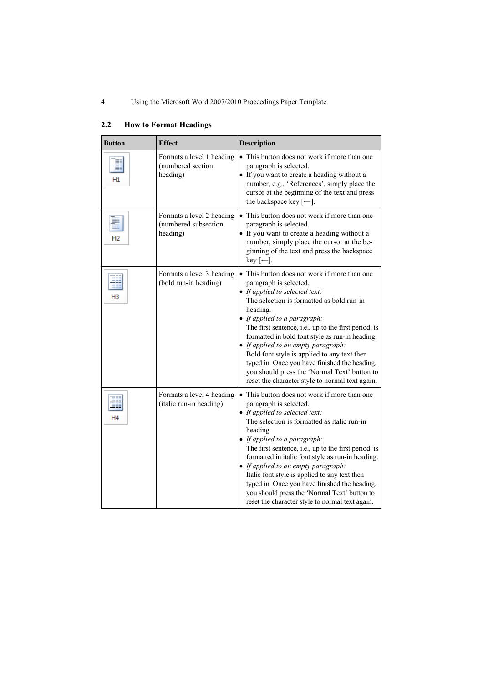| <b>Button</b>  | <b>Effect</b>                                                 | Description                                                                                                                                                                                                                                                                                                                                                                                                                                                                                                                                                  |
|----------------|---------------------------------------------------------------|--------------------------------------------------------------------------------------------------------------------------------------------------------------------------------------------------------------------------------------------------------------------------------------------------------------------------------------------------------------------------------------------------------------------------------------------------------------------------------------------------------------------------------------------------------------|
| ≣<br>≣<br>H1   | Formats a level 1 heading<br>(numbered section<br>heading)    | • This button does not work if more than one<br>paragraph is selected.<br>• If you want to create a heading without a<br>number, e.g., 'References', simply place the<br>cursor at the beginning of the text and press<br>the backspace key $\left[\leftarrow\right]$ .                                                                                                                                                                                                                                                                                      |
| H <sub>2</sub> | Formats a level 2 heading<br>(numbered subsection<br>heading) | • This button does not work if more than one<br>paragraph is selected.<br>• If you want to create a heading without a<br>number, simply place the cursor at the be-<br>ginning of the text and press the backspace<br>$key$ [ $\leftarrow$ ].                                                                                                                                                                                                                                                                                                                |
| нз             | Formats a level 3 heading<br>(bold run-in heading)            | • This button does not work if more than one<br>paragraph is selected.<br>• If applied to selected text:<br>The selection is formatted as bold run-in<br>heading.<br>• If applied to a paragraph:<br>The first sentence, i.e., up to the first period, is<br>formatted in bold font style as run-in heading.<br>• If applied to an empty paragraph:<br>Bold font style is applied to any text then<br>typed in. Once you have finished the heading,<br>you should press the 'Normal Text' button to<br>reset the character style to normal text again.       |
| H4             | Formats a level 4 heading<br>(italic run-in heading)          | • This button does not work if more than one<br>paragraph is selected.<br>• If applied to selected text:<br>The selection is formatted as italic run-in<br>heading.<br>• If applied to a paragraph:<br>The first sentence, i.e., up to the first period, is<br>formatted in italic font style as run-in heading.<br>• If applied to an empty paragraph:<br>Italic font style is applied to any text then<br>typed in. Once you have finished the heading,<br>you should press the 'Normal Text' button to<br>reset the character style to normal text again. |

# **2.2 How to Format Headings**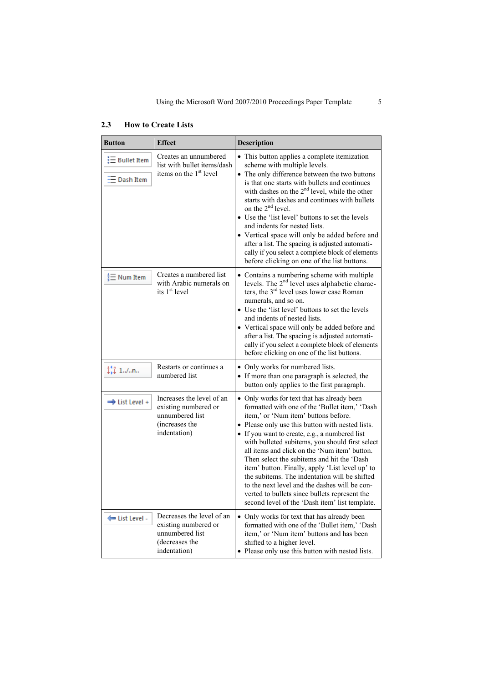| <b>Button</b>                     | <b>Effect</b>                                                                                          | Description                                                                                                                                                                                                                                                                                                                                                                                                                                                                                                                                                                                                                                           |
|-----------------------------------|--------------------------------------------------------------------------------------------------------|-------------------------------------------------------------------------------------------------------------------------------------------------------------------------------------------------------------------------------------------------------------------------------------------------------------------------------------------------------------------------------------------------------------------------------------------------------------------------------------------------------------------------------------------------------------------------------------------------------------------------------------------------------|
| $\equiv$ Bullet Item<br>Dash Item | Creates an unnumbered<br>list with bullet items/dash<br>items on the 1 <sup>st</sup> level             | • This button applies a complete itemization<br>scheme with multiple levels.<br>• The only difference between the two buttons<br>is that one starts with bullets and continues<br>with dashes on the 2 <sup>nd</sup> level, while the other<br>starts with dashes and continues with bullets<br>on the 2 <sup>nd</sup> level.<br>• Use the 'list level' buttons to set the levels<br>and indents for nested lists.<br>• Vertical space will only be added before and<br>after a list. The spacing is adjusted automati-<br>cally if you select a complete block of elements<br>before clicking on one of the list buttons.                            |
| $\frac{1}{3}$ Num Item            | Creates a numbered list<br>with Arabic numerals on<br>its 1 <sup>st</sup> level                        | • Contains a numbering scheme with multiple<br>levels. The 2 <sup>nd</sup> level uses alphabetic charac-<br>ters, the $3rd$ level uses lower case Roman<br>numerals, and so on.<br>• Use the 'list level' buttons to set the levels<br>and indents of nested lists.<br>• Vertical space will only be added before and<br>after a list. The spacing is adjusted automati-<br>cally if you select a complete block of elements<br>before clicking on one of the list buttons.                                                                                                                                                                           |
| $\frac{11}{44}$ 1./n              | Restarts or continues a<br>numbered list                                                               | • Only works for numbered lists.<br>• If more than one paragraph is selected, the<br>button only applies to the first paragraph.                                                                                                                                                                                                                                                                                                                                                                                                                                                                                                                      |
| → List Level +                    | Increases the level of an<br>existing numbered or<br>unnumbered list<br>(increases the<br>indentation) | • Only works for text that has already been<br>formatted with one of the 'Bullet item,' 'Dash<br>item,' or 'Num item' buttons before.<br>• Please only use this button with nested lists.<br>• If you want to create, e.g., a numbered list<br>with bulleted subitems, you should first select<br>all items and click on the 'Num item' button.<br>Then select the subitems and hit the 'Dash<br>item' button. Finally, apply 'List level up' to<br>the subitems. The indentation will be shifted<br>to the next level and the dashes will be con-<br>verted to bullets since bullets represent the<br>second level of the 'Dash item' list template. |
| ← List Level -                    | Decreases the level of an<br>existing numbered or<br>unnumbered list<br>(decreases the<br>indentation) | • Only works for text that has already been<br>formatted with one of the 'Bullet item,' 'Dash<br>item,' or 'Num item' buttons and has been<br>shifted to a higher level.<br>Please only use this button with nested lists.                                                                                                                                                                                                                                                                                                                                                                                                                            |

# **2.3 How to Create Lists**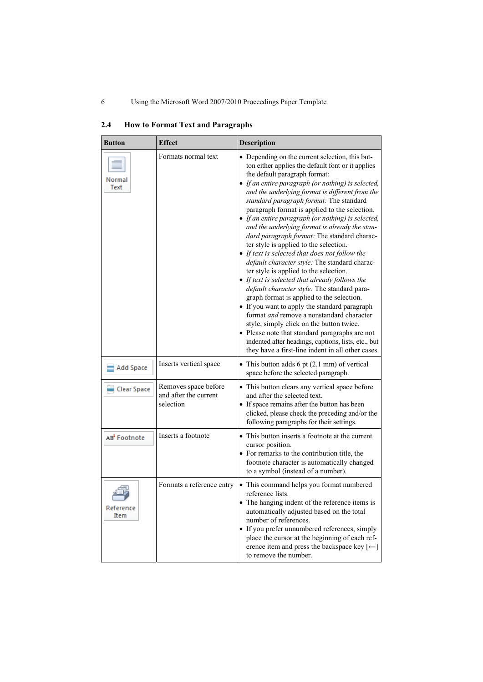| Button                   | <b>Effect</b>                                              | Description                                                                                                                                                                                                                                                                                                                                                                                                                                                                                                                                                                                                                                                                                                                                                                                                                                                                                                                                                                                                                                                                                                                                           |
|--------------------------|------------------------------------------------------------|-------------------------------------------------------------------------------------------------------------------------------------------------------------------------------------------------------------------------------------------------------------------------------------------------------------------------------------------------------------------------------------------------------------------------------------------------------------------------------------------------------------------------------------------------------------------------------------------------------------------------------------------------------------------------------------------------------------------------------------------------------------------------------------------------------------------------------------------------------------------------------------------------------------------------------------------------------------------------------------------------------------------------------------------------------------------------------------------------------------------------------------------------------|
| Normal<br>Text           | Formats normal text                                        | • Depending on the current selection, this but-<br>ton either applies the default font or it applies<br>the default paragraph format:<br>• If an entire paragraph (or nothing) is selected,<br>and the underlying format is different from the<br>standard paragraph format: The standard<br>paragraph format is applied to the selection.<br>• If an entire paragraph (or nothing) is selected,<br>and the underlying format is already the stan-<br>dard paragraph format: The standard charac-<br>ter style is applied to the selection.<br>• If text is selected that does not follow the<br>default character style: The standard charac-<br>ter style is applied to the selection.<br>• If text is selected that already follows the<br>default character style: The standard para-<br>graph format is applied to the selection.<br>• If you want to apply the standard paragraph<br>format <i>and</i> remove a nonstandard character<br>style, simply click on the button twice.<br>• Please note that standard paragraphs are not<br>indented after headings, captions, lists, etc., but<br>they have a first-line indent in all other cases. |
| $\equiv$ Add Space       | Inserts vertical space                                     | • This button adds 6 pt $(2.1 \text{ mm})$ of vertical<br>space before the selected paragraph.                                                                                                                                                                                                                                                                                                                                                                                                                                                                                                                                                                                                                                                                                                                                                                                                                                                                                                                                                                                                                                                        |
| Clear Space              | Removes space before<br>and after the current<br>selection | • This button clears any vertical space before<br>and after the selected text.<br>• If space remains after the button has been<br>clicked, please check the preceding and/or the<br>following paragraphs for their settings.                                                                                                                                                                                                                                                                                                                                                                                                                                                                                                                                                                                                                                                                                                                                                                                                                                                                                                                          |
| AB <sup>1</sup> Footnote | Inserts a footnote                                         | • This button inserts a footnote at the current<br>cursor position.<br>• For remarks to the contribution title, the<br>footnote character is automatically changed<br>to a symbol (instead of a number).                                                                                                                                                                                                                                                                                                                                                                                                                                                                                                                                                                                                                                                                                                                                                                                                                                                                                                                                              |
| Reference<br><b>Item</b> | Formats a reference entry                                  | • This command helps you format numbered<br>reference lists.<br>• The hanging indent of the reference items is<br>automatically adjusted based on the total<br>number of references.<br>• If you prefer unnumbered references, simply<br>place the cursor at the beginning of each ref-<br>erence item and press the backspace key $[$ $\leftarrow$ $]$<br>to remove the number.                                                                                                                                                                                                                                                                                                                                                                                                                                                                                                                                                                                                                                                                                                                                                                      |

# **2.4 How to Format Text and Paragraphs**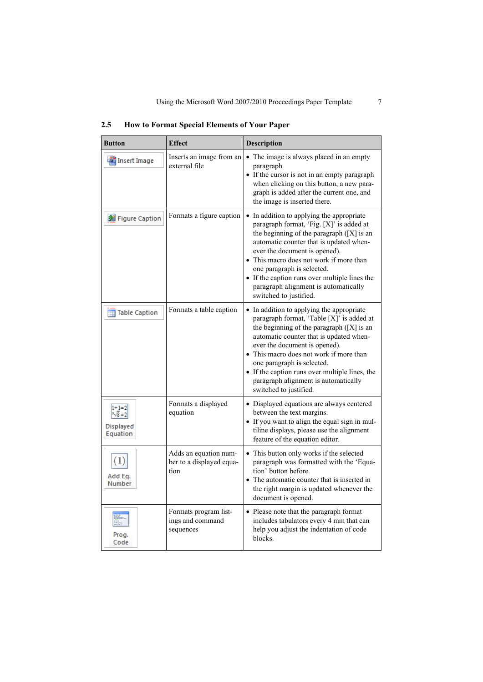| <b>Button</b>                            | <b>Effect</b>                                             | Description                                                                                                                                                                                                                                                                                                                                                                                                    |
|------------------------------------------|-----------------------------------------------------------|----------------------------------------------------------------------------------------------------------------------------------------------------------------------------------------------------------------------------------------------------------------------------------------------------------------------------------------------------------------------------------------------------------------|
| Insert Image                             | Inserts an image from an<br>external file                 | • The image is always placed in an empty<br>paragraph.<br>• If the cursor is not in an empty paragraph<br>when clicking on this button, a new para-<br>graph is added after the current one, and<br>the image is inserted there.                                                                                                                                                                               |
| Figure Caption                           | Formats a figure caption                                  | • In addition to applying the appropriate<br>paragraph format, 'Fig. [X]' is added at<br>the beginning of the paragraph $([X]$ is an<br>automatic counter that is updated when-<br>ever the document is opened).<br>• This macro does not work if more than<br>one paragraph is selected.<br>• If the caption runs over multiple lines the<br>paragraph alignment is automatically<br>switched to justified.   |
| Table Caption                            | Formats a table caption                                   | • In addition to applying the appropriate<br>paragraph format, 'Table [X]' is added at<br>the beginning of the paragraph $([X]$ is an<br>automatic counter that is updated when-<br>ever the document is opened).<br>• This macro does not work if more than<br>one paragraph is selected.<br>• If the caption runs over multiple lines, the<br>paragraph alignment is automatically<br>switched to justified. |
| $1+1=2$<br>$-2$<br>Displayed<br>Equation | Formats a displayed<br>equation                           | • Displayed equations are always centered<br>between the text margins.<br>• If you want to align the equal sign in mul-<br>tiline displays, please use the alignment<br>feature of the equation editor.                                                                                                                                                                                                        |
| $\left( 1\right)$<br>Add Eq.<br>Number   | Adds an equation num-<br>ber to a displayed equa-<br>tion | • This button only works if the selected<br>paragraph was formatted with the 'Equa-<br>tion' button before.<br>• The automatic counter that is inserted in<br>the right margin is updated whenever the<br>document is opened.                                                                                                                                                                                  |
| Prog.<br>Code                            | Formats program list-<br>ings and command<br>sequences    | • Please note that the paragraph format<br>includes tabulators every 4 mm that can<br>help you adjust the indentation of code<br>blocks.                                                                                                                                                                                                                                                                       |

**2.5 How to Format Special Elements of Your Paper**